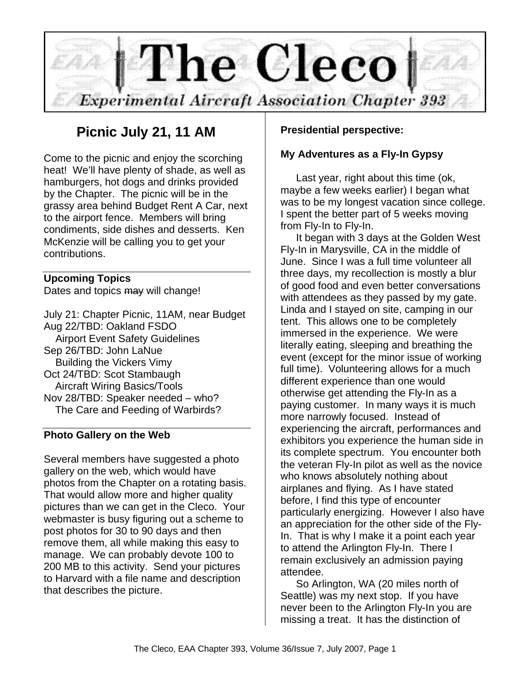

## **Picnic July 21, 11 AM**

Come to the picnic and enjoy the scorching heat! We'll have plenty of shade, as well as hamburgers, hot dogs and drinks provided by the Chapter. The picnic will be in the grassy area behind Budget Rent A Car, next to the airport fence. Members will bring condiments, side dishes and desserts. Ken McKenzie will be calling you to get your contributions.

#### **Upcoming Topics**

Dates and topics may will change!

July 21: Chapter Picnic, 11AM, near Budget Aug 22/TBD: Oakland FSDO Airport Event Safety Guidelines Sep 26/TBD: John LaNue Building the Vickers Vimy Oct 24/TBD: Scot Stambaugh Aircraft Wiring Basics/Tools Nov 28/TBD: Speaker needed – who? The Care and Feeding of Warbirds?

#### **Photo Gallery on the Web**

Several members have suggested a photo gallery on the web, which would have photos from the Chapter on a rotating basis. That would allow more and higher quality pictures than we can get in the Cleco. Your webmaster is busy figuring out a scheme to post photos for 30 to 90 days and then remove them, all while making this easy to manage. We can probably devote 100 to 200 MB to this activity. Send your pictures to Harvard with a file name and description that describes the picture.

## **Presidential perspective:**

#### **My Adventures as a Fly-In Gypsy**

Last year, right about this time (ok, maybe a few weeks earlier) I began what was to be my longest vacation since college. I spent the better part of 5 weeks moving from Fly-In to Fly-In.

It began with 3 days at the Golden West Fly-In in Marysville, CA in the middle of June. Since I was a full time volunteer all three days, my recollection is mostly a blur of good food and even better conversations with attendees as they passed by my gate. Linda and I stayed on site, camping in our tent. This allows one to be completely immersed in the experience. We were literally eating, sleeping and breathing the event (except for the minor issue of working full time). Volunteering allows for a much different experience than one would otherwise get attending the Fly-In as a paying customer. In many ways it is much more narrowly focused. Instead of experiencing the aircraft, performances and exhibitors you experience the human side in its complete spectrum. You encounter both the veteran Fly-In pilot as well as the novice who knows absolutely nothing about airplanes and flying. As I have stated before, I find this type of encounter particularly energizing. However I also have an appreciation for the other side of the Fly-In. That is why I make it a point each year to attend the Arlington Fly-In. There I remain exclusively an admission paying attendee.

So Arlington, WA (20 miles north of Seattle) was my next stop. If you have never been to the Arlington Fly-In you are missing a treat. It has the distinction of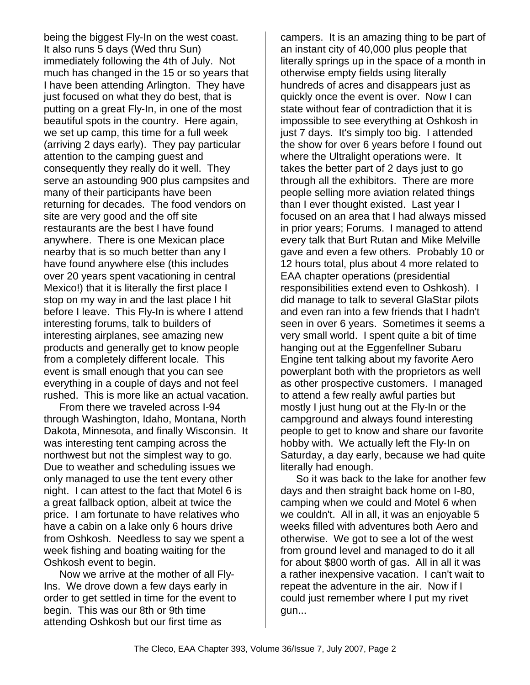being the biggest Fly-In on the west coast. It also runs 5 days (Wed thru Sun) immediately following the 4th of July. Not much has changed in the 15 or so years that I have been attending Arlington. They have just focused on what they do best, that is putting on a great Fly-In, in one of the most beautiful spots in the country. Here again, we set up camp, this time for a full week (arriving 2 days early). They pay particular attention to the camping guest and consequently they really do it well. They serve an astounding 900 plus campsites and many of their participants have been returning for decades. The food vendors on site are very good and the off site restaurants are the best I have found anywhere. There is one Mexican place nearby that is so much better than any I have found anywhere else (this includes over 20 years spent vacationing in central Mexico!) that it is literally the first place I stop on my way in and the last place I hit before I leave. This Fly-In is where I attend interesting forums, talk to builders of interesting airplanes, see amazing new products and generally get to know people from a completely different locale. This event is small enough that you can see everything in a couple of days and not feel rushed. This is more like an actual vacation.

From there we traveled across I-94 through Washington, Idaho, Montana, North Dakota, Minnesota, and finally Wisconsin. It was interesting tent camping across the northwest but not the simplest way to go. Due to weather and scheduling issues we only managed to use the tent every other night. I can attest to the fact that Motel 6 is a great fallback option, albeit at twice the price. I am fortunate to have relatives who have a cabin on a lake only 6 hours drive from Oshkosh. Needless to say we spent a week fishing and boating waiting for the Oshkosh event to begin.

Now we arrive at the mother of all Fly-Ins. We drove down a few days early in order to get settled in time for the event to begin. This was our 8th or 9th time attending Oshkosh but our first time as

campers. It is an amazing thing to be part of an instant city of 40,000 plus people that literally springs up in the space of a month in otherwise empty fields using literally hundreds of acres and disappears just as quickly once the event is over. Now I can state without fear of contradiction that it is impossible to see everything at Oshkosh in just 7 days. It's simply too big. I attended the show for over 6 years before I found out where the Ultralight operations were. It takes the better part of 2 days just to go through all the exhibitors. There are more people selling more aviation related things than I ever thought existed. Last year I focused on an area that I had always missed in prior years; Forums. I managed to attend every talk that Burt Rutan and Mike Melville gave and even a few others. Probably 10 or 12 hours total, plus about 4 more related to EAA chapter operations (presidential responsibilities extend even to Oshkosh). I did manage to talk to several GlaStar pilots and even ran into a few friends that I hadn't seen in over 6 years. Sometimes it seems a very small world. I spent quite a bit of time hanging out at the Eggenfellner Subaru Engine tent talking about my favorite Aero powerplant both with the proprietors as well as other prospective customers. I managed to attend a few really awful parties but mostly I just hung out at the Fly-In or the campground and always found interesting people to get to know and share our favorite hobby with. We actually left the Fly-In on Saturday, a day early, because we had quite literally had enough.

So it was back to the lake for another few days and then straight back home on I-80, camping when we could and Motel 6 when we couldn't. All in all, it was an enjoyable 5 weeks filled with adventures both Aero and otherwise. We got to see a lot of the west from ground level and managed to do it all for about \$800 worth of gas. All in all it was a rather inexpensive vacation. I can't wait to repeat the adventure in the air. Now if I could just remember where I put my rivet gun...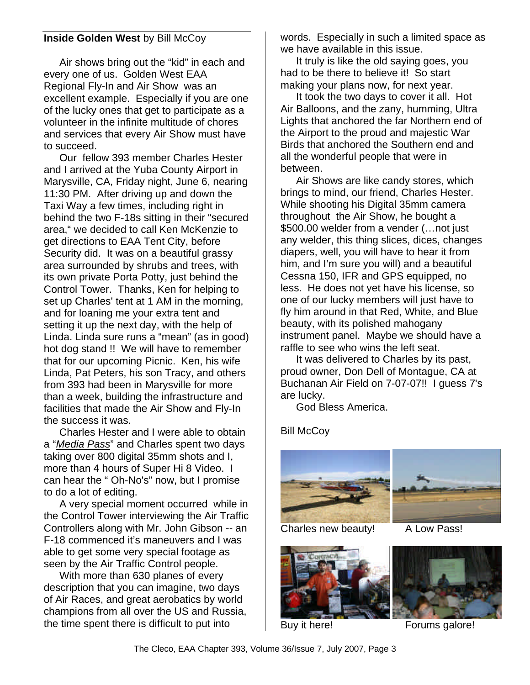## **Inside Golden West by Bill McCoy**

Air shows bring out the "kid" in each and every one of us. Golden West EAA Regional Fly-In and Air Show was an excellent example. Especially if you are one of the lucky ones that get to participate as a volunteer in the infinite multitude of chores and services that every Air Show must have to succeed.

Our fellow 393 member Charles Hester and I arrived at the Yuba County Airport in Marysville, CA, Friday night, June 6, nearing 11:30 PM. After driving up and down the Taxi Way a few times, including right in behind the two F-18s sitting in their "secured area," we decided to call Ken McKenzie to get directions to EAA Tent City, before Security did. It was on a beautiful grassy area surrounded by shrubs and trees, with its own private Porta Potty, just behind the Control Tower. Thanks, Ken for helping to set up Charles' tent at 1 AM in the morning, and for loaning me your extra tent and setting it up the next day, with the help of Linda. Linda sure runs a "mean" (as in good) hot dog stand !! We will have to remember that for our upcoming Picnic. Ken, his wife Linda, Pat Peters, his son Tracy, and others from 393 had been in Marysville for more than a week, building the infrastructure and facilities that made the Air Show and Fly-In the success it was.

Charles Hester and I were able to obtain a "*Media Pass*" and Charles spent two days taking over 800 digital 35mm shots and I, more than 4 hours of Super Hi 8 Video. I can hear the " Oh-No's" now, but I promise to do a lot of editing.

A very special moment occurred while in the Control Tower interviewing the Air Traffic Controllers along with Mr. John Gibson -- an F-18 commenced it's maneuvers and I was able to get some very special footage as seen by the Air Traffic Control people.

With more than 630 planes of every description that you can imagine, two days of Air Races, and great aerobatics by world champions from all over the US and Russia, the time spent there is difficult to put into

words. Especially in such a limited space as we have available in this issue.

It truly is like the old saying goes, you had to be there to believe it! So start making your plans now, for next year.

It took the two days to cover it all. Hot Air Balloons, and the zany, humming, Ultra Lights that anchored the far Northern end of the Airport to the proud and majestic War Birds that anchored the Southern end and all the wonderful people that were in between.

Air Shows are like candy stores, which brings to mind, our friend, Charles Hester. While shooting his Digital 35mm camera throughout the Air Show, he bought a \$500.00 welder from a vender (…not just any welder, this thing slices, dices, changes diapers, well, you will have to hear it from him, and I'm sure you will) and a beautiful Cessna 150, IFR and GPS equipped, no less. He does not yet have his license, so one of our lucky members will just have to fly him around in that Red, White, and Blue beauty, with its polished mahogany instrument panel. Maybe we should have a raffle to see who wins the left seat.

It was delivered to Charles by its past, proud owner, Don Dell of Montague, CA at Buchanan Air Field on 7-07-07!! I guess 7's are lucky.

God Bless America.

Bill McCoy



Charles new beauty! A Low Pass!





Buy it here! Forums galore!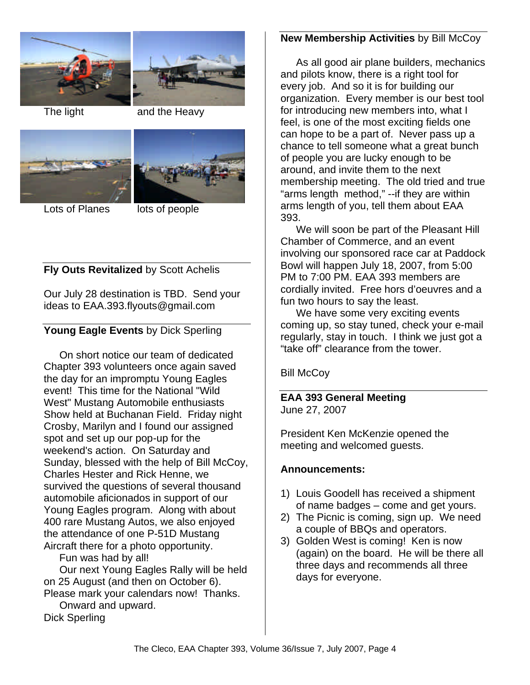



The light and the Heavy



Lots of Planes lots of people

## **Fly Outs Revitalized** by Scott Achelis

Our July 28 destination is TBD. Send your ideas to EAA.393.flyouts@gmail.com

## **Young Eagle Events** by Dick Sperling

On short notice our team of dedicated Chapter 393 volunteers once again saved the day for an impromptu Young Eagles event! This time for the National "Wild West" Mustang Automobile enthusiasts Show held at Buchanan Field. Friday night Crosby, Marilyn and I found our assigned spot and set up our pop-up for the weekend's action. On Saturday and Sunday, blessed with the help of Bill McCoy, Charles Hester and Rick Henne, we survived the questions of several thousand automobile aficionados in support of our Young Eagles program. Along with about 400 rare Mustang Autos, we also enjoyed the attendance of one P-51D Mustang Aircraft there for a photo opportunity.

Fun was had by all!

Our next Young Eagles Rally will be held on 25 August (and then on October 6). Please mark your calendars now! Thanks.

Onward and upward. Dick Sperling

## **New Membership Activities** by Bill McCoy

As all good air plane builders, mechanics and pilots know, there is a right tool for every job. And so it is for building our organization. Every member is our best tool for introducing new members into, what I feel, is one of the most exciting fields one can hope to be a part of. Never pass up a chance to tell someone what a great bunch of people you are lucky enough to be around, and invite them to the next membership meeting. The old tried and true "arms length method," --if they are within arms length of you, tell them about EAA 393.

We will soon be part of the Pleasant Hill Chamber of Commerce, and an event involving our sponsored race car at Paddock Bowl will happen July 18, 2007, from 5:00 PM to 7:00 PM. EAA 393 members are cordially invited. Free hors d'oeuvres and a fun two hours to say the least.

We have some very exciting events coming up, so stay tuned, check your e-mail regularly, stay in touch. I think we just got a "take off" clearance from the tower.

Bill McCoy

**EAA 393 General Meeting** June 27, 2007

President Ken McKenzie opened the meeting and welcomed guests.

## **Announcements:**

- 1) Louis Goodell has received a shipment of name badges – come and get yours.
- 2) The Picnic is coming, sign up. We need a couple of BBQs and operators.
- 3) Golden West is coming! Ken is now (again) on the board. He will be there all three days and recommends all three days for everyone.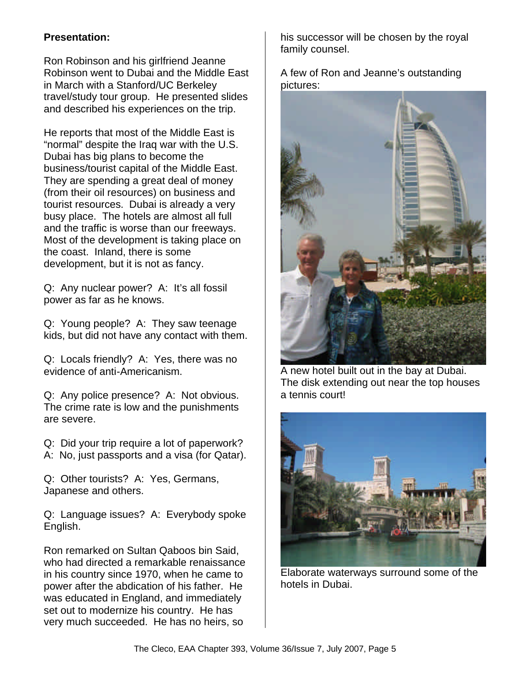## **Presentation:**

Ron Robinson and his girlfriend Jeanne Robinson went to Dubai and the Middle East in March with a Stanford/UC Berkeley travel/study tour group. He presented slides and described his experiences on the trip.

He reports that most of the Middle East is "normal" despite the Iraq war with the U.S. Dubai has big plans to become the business/tourist capital of the Middle East. They are spending a great deal of money (from their oil resources) on business and tourist resources. Dubai is already a very busy place. The hotels are almost all full and the traffic is worse than our freeways. Most of the development is taking place on the coast. Inland, there is some development, but it is not as fancy.

Q: Any nuclear power? A: It's all fossil power as far as he knows.

Q: Young people? A: They saw teenage kids, but did not have any contact with them.

Q: Locals friendly? A: Yes, there was no evidence of anti-Americanism.

Q: Any police presence? A: Not obvious. The crime rate is low and the punishments are severe.

Q: Did your trip require a lot of paperwork? A: No, just passports and a visa (for Qatar).

Q: Other tourists? A: Yes, Germans, Japanese and others.

Q: Language issues? A: Everybody spoke English.

Ron remarked on Sultan Qaboos bin Said, who had directed a remarkable renaissance in his country since 1970, when he came to power after the abdication of his father. He was educated in England, and immediately set out to modernize his country. He has very much succeeded. He has no heirs, so

his successor will be chosen by the royal family counsel.

A few of Ron and Jeanne's outstanding pictures:



A new hotel built out in the bay at Dubai. The disk extending out near the top houses a tennis court!



Elaborate waterways surround some of the hotels in Dubai.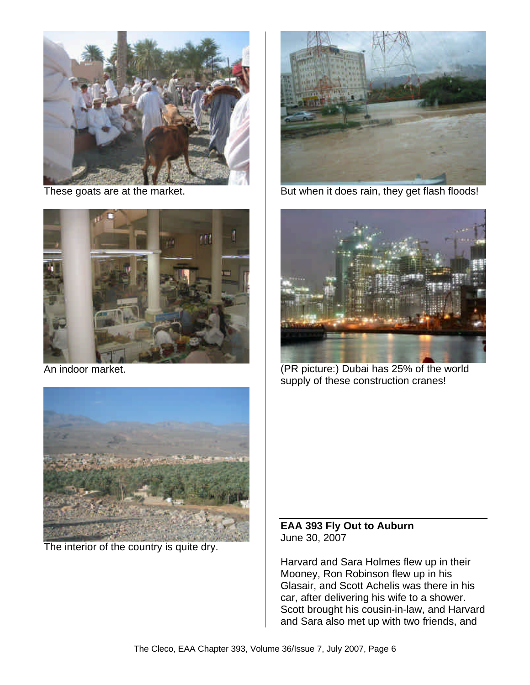

These goats are at the market.



An indoor market.



The interior of the country is quite dry.



But when it does rain, they get flash floods!



(PR picture:) Dubai has 25% of the world supply of these construction cranes!

**EAA 393 Fly Out to Auburn** June 30, 2007

Harvard and Sara Holmes flew up in their Mooney, Ron Robinson flew up in his Glasair, and Scott Achelis was there in his car, after delivering his wife to a shower. Scott brought his cousin-in-law, and Harvard and Sara also met up with two friends, and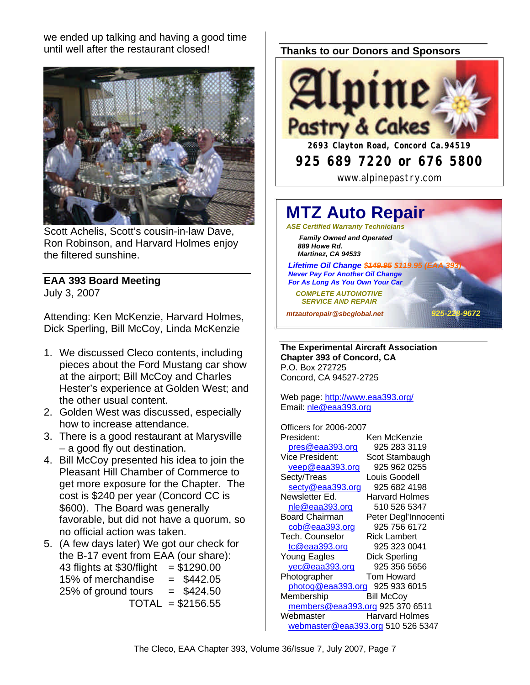we ended up talking and having a good time until well after the restaurant closed!



Scott Achelis, Scott's cousin-in-law Dave, Ron Robinson, and Harvard Holmes enjoy the filtered sunshine.

# **EAA 393 Board Meeting**

July 3, 2007

Attending: Ken McKenzie, Harvard Holmes, Dick Sperling, Bill McCoy, Linda McKenzie

- 1. We discussed Cleco contents, including pieces about the Ford Mustang car show at the airport; Bill McCoy and Charles Hester's experience at Golden West; and the other usual content.
- 2. Golden West was discussed, especially how to increase attendance.
- 3. There is a good restaurant at Marysville – a good fly out destination.
- 4. Bill McCoy presented his idea to join the Pleasant Hill Chamber of Commerce to get more exposure for the Chapter. The cost is \$240 per year (Concord CC is \$600). The Board was generally favorable, but did not have a quorum, so no official action was taken.
- 5. (A few days later) We got our check for the B-17 event from EAA (our share): 43 flights at  $$30/flight = $1290.00$ 15% of merchandise  $= $442.05$  $25\%$  of ground tours  $= $424.50$  $TOTAL = $2156.55$

## **Thanks to our Donors and Sponsors**



# **MTZ Auto Repair**

*ASE Certified Warranty Technicians Family Owned and Operated 889 Howe Rd. Martinez, CA 94533*

**Lifetime Oil Change \$449.95 \$119.95 (EA**  *Never Pay For Another Oil Change For As Long As You Own Your Car*

 *COMPLETE AUTOMOTIVE SERVICE AND REPAIR*

*mtzautorepair@sbcglobal.net 925-228-9672*

**The Experimental Aircraft Association Chapter 393 of Concord, CA** P.O. Box 272725 Concord, CA 94527-2725

Web page: http://www.eaa393.org/ Email: nle@eaa393.org

Officers for 2006-2007 President: Ken McKenzie pres@eaa393.org 925 283 3119 Vice President: Scot Stambaugh veep@eaa393.org 925 962 0255 Secty/Treas Louis Goodell secty@eaa393.org 925 682 4198 Newsletter Ed. Harvard Holmes nle@eaa393.org 510 526 5347 Board Chairman Peter Degl'Innocenti cob@eaa393.org 925 756 6172 Tech. Counselor Rick Lambert tc@eaa393.org 925 323 0041 Young Eagles Dick Sperling yec@eaa393.org 925 356 5656 Photographer Tom Howard photog@eaa393.org 925 933 6015 Membership Bill McCoy members@eaa393.org 925 370 6511 Webmaster **Harvard Holmes** webmaster@eaa393.org 510 526 5347